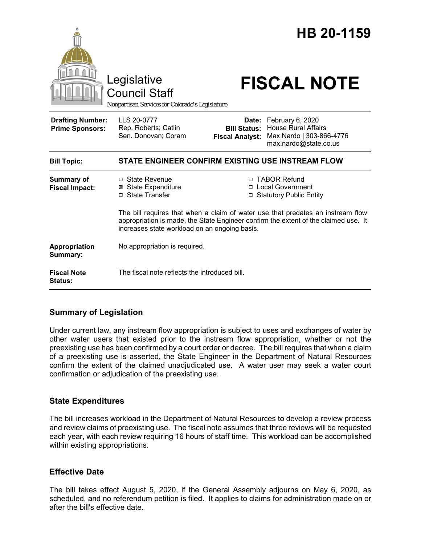

## **Summary of Legislation**

Under current law, any instream flow appropriation is subject to uses and exchanges of water by other water users that existed prior to the instream flow appropriation, whether or not the preexisting use has been confirmed by a court order or decree. The bill requires that when a claim of a preexisting use is asserted, the State Engineer in the Department of Natural Resources confirm the extent of the claimed unadjudicated use. A water user may seek a water court confirmation or adjudication of the preexisting use.

## **State Expenditures**

The bill increases workload in the Department of Natural Resources to develop a review process and review claims of preexisting use. The fiscal note assumes that three reviews will be requested each year, with each review requiring 16 hours of staff time. This workload can be accomplished within existing appropriations.

## **Effective Date**

The bill takes effect August 5, 2020, if the General Assembly adjourns on May 6, 2020, as scheduled, and no referendum petition is filed. It applies to claims for administration made on or after the bill's effective date.